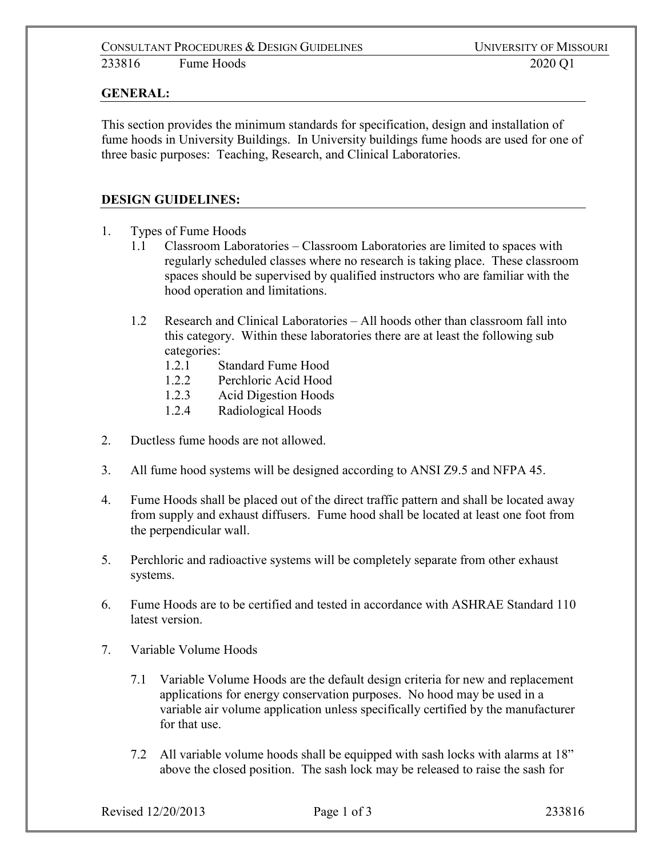## **GENERAL:**

This section provides the minimum standards for specification, design and installation of fume hoods in University Buildings. In University buildings fume hoods are used for one of three basic purposes: Teaching, Research, and Clinical Laboratories.

## **DESIGN GUIDELINES:**

- 1. Types of Fume Hoods
	- 1.1 Classroom Laboratories Classroom Laboratories are limited to spaces with regularly scheduled classes where no research is taking place. These classroom spaces should be supervised by qualified instructors who are familiar with the hood operation and limitations.
	- 1.2 Research and Clinical Laboratories All hoods other than classroom fall into this category. Within these laboratories there are at least the following sub categories:
		- 1.2.1 Standard Fume Hood
		- 1.2.2 Perchloric Acid Hood
		- 1.2.3 Acid Digestion Hoods
		- 1.2.4 Radiological Hoods
- 2. Ductless fume hoods are not allowed.
- 3. All fume hood systems will be designed according to ANSI Z9.5 and NFPA 45.
- 4. Fume Hoods shall be placed out of the direct traffic pattern and shall be located away from supply and exhaust diffusers. Fume hood shall be located at least one foot from the perpendicular wall.
- 5. Perchloric and radioactive systems will be completely separate from other exhaust systems.
- 6. Fume Hoods are to be certified and tested in accordance with ASHRAE Standard 110 latest version.
- 7. Variable Volume Hoods
	- 7.1 Variable Volume Hoods are the default design criteria for new and replacement applications for energy conservation purposes. No hood may be used in a variable air volume application unless specifically certified by the manufacturer for that use.
	- 7.2 All variable volume hoods shall be equipped with sash locks with alarms at 18" above the closed position. The sash lock may be released to raise the sash for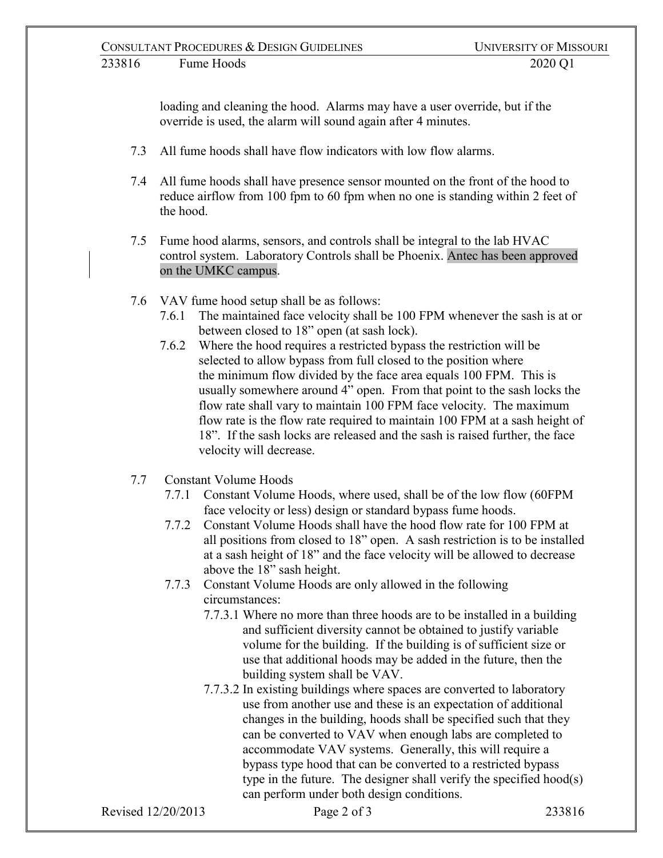loading and cleaning the hood. Alarms may have a user override, but if the override is used, the alarm will sound again after 4 minutes.

- 7.3 All fume hoods shall have flow indicators with low flow alarms.
- 7.4 All fume hoods shall have presence sensor mounted on the front of the hood to reduce airflow from 100 fpm to 60 fpm when no one is standing within 2 feet of the hood.
- 7.5 Fume hood alarms, sensors, and controls shall be integral to the lab HVAC control system. Laboratory Controls shall be Phoenix. Antec has been approved on the UMKC campus.
- 7.6 VAV fume hood setup shall be as follows:
	- 7.6.1 The maintained face velocity shall be 100 FPM whenever the sash is at or between closed to 18" open (at sash lock).
	- 7.6.2 Where the hood requires a restricted bypass the restriction will be selected to allow bypass from full closed to the position where the minimum flow divided by the face area equals 100 FPM. This is usually somewhere around 4" open. From that point to the sash locks the flow rate shall vary to maintain 100 FPM face velocity. The maximum flow rate is the flow rate required to maintain 100 FPM at a sash height of 18". If the sash locks are released and the sash is raised further, the face velocity will decrease.
- 7.7 Constant Volume Hoods
	- 7.7.1 Constant Volume Hoods, where used, shall be of the low flow (60FPM face velocity or less) design or standard bypass fume hoods.
	- 7.7.2 Constant Volume Hoods shall have the hood flow rate for 100 FPM at all positions from closed to 18" open. A sash restriction is to be installed at a sash height of 18" and the face velocity will be allowed to decrease above the 18" sash height.
	- 7.7.3 Constant Volume Hoods are only allowed in the following circumstances:
		- 7.7.3.1 Where no more than three hoods are to be installed in a building and sufficient diversity cannot be obtained to justify variable volume for the building. If the building is of sufficient size or use that additional hoods may be added in the future, then the building system shall be VAV.
		- 7.7.3.2 In existing buildings where spaces are converted to laboratory use from another use and these is an expectation of additional changes in the building, hoods shall be specified such that they can be converted to VAV when enough labs are completed to accommodate VAV systems. Generally, this will require a bypass type hood that can be converted to a restricted bypass type in the future. The designer shall verify the specified hood(s) can perform under both design conditions.

Revised 12/20/2013 **Page 2 of 3** 233816